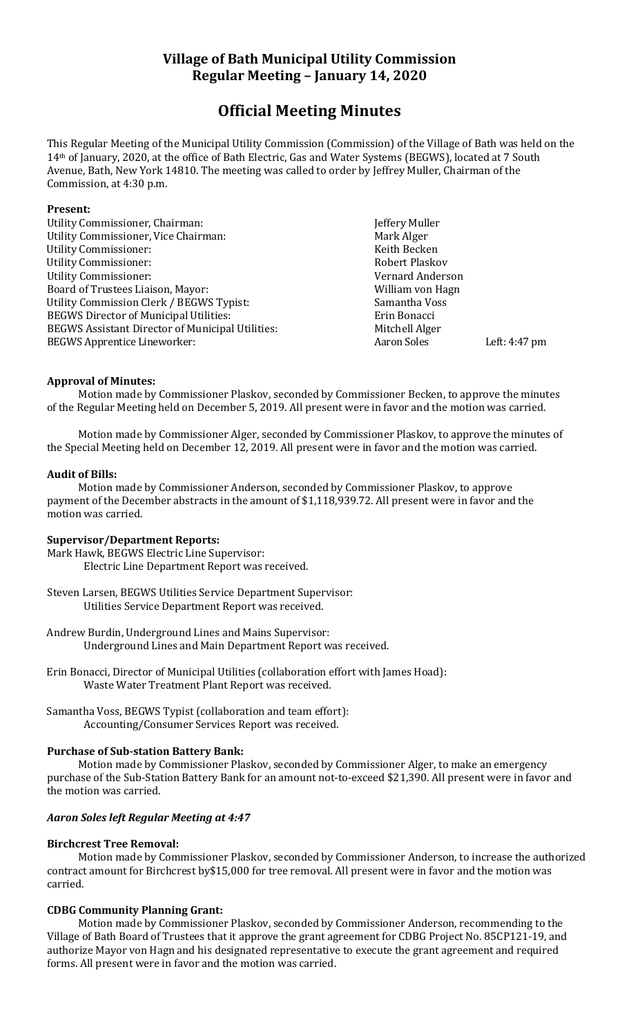# **Village of Bath Municipal Utility Commission Regular Meeting – January 14, 2020**

# **Official Meeting Minutes**

This Regular Meeting of the Municipal Utility Commission (Commission) of the Village of Bath was held on the 14th of January, 2020, at the office of Bath Electric, Gas and Water Systems (BEGWS), located at 7 South Avenue, Bath, New York 14810. The meeting was called to order by Jeffrey Muller, Chairman of the Commission, at 4:30 p.m.

#### **Present:**

Utility Commissioner, Chairman: Jeffery Muller Utility Commissioner, Vice Chairman: Mark Alger Utility Commissioner: The Commissioner of the Commissioner of the Commissioner of the Commissioner of the Commissioner of the Commissioner of the Commissioner of the Commissioner of the Commissioner of the Commissioner of Utility Commissioner: The Commissioner of the Commissioner of the Robert Plaskov Utility Commissioner: Vernard Anderson Board of Trustees Liaison, Mayor: William von Hagn Utility Commission Clerk / BEGWS Typist: Samantha Voss BEGWS Director of Municipal Utilities:<br>BEGWS Assistant Director of Municipal Utilities: Mitchell Alger BEGWS Assistant Director of Municipal Utilities: BEGWS Apprentice Lineworker: All and Soles Left: 4:47 pm

## **Approval of Minutes:**

Motion made by Commissioner Plaskov, seconded by Commissioner Becken, to approve the minutes of the Regular Meeting held on December 5, 2019. All present were in favor and the motion was carried.

Motion made by Commissioner Alger, seconded by Commissioner Plaskov, to approve the minutes of the Special Meeting held on December 12, 2019. All present were in favor and the motion was carried.

#### **Audit of Bills:**

Motion made by Commissioner Anderson, seconded by Commissioner Plaskov, to approve payment of the December abstracts in the amount of \$1,118,939.72. All present were in favor and the motion was carried.

## **Supervisor/Department Reports:**

Mark Hawk, BEGWS Electric Line Supervisor: Electric Line Department Report was received.

Steven Larsen, BEGWS Utilities Service Department Supervisor: Utilities Service Department Report was received.

Andrew Burdin, Underground Lines and Mains Supervisor: Underground Lines and Main Department Report was received.

- Erin Bonacci, Director of Municipal Utilities (collaboration effort with James Hoad): Waste Water Treatment Plant Report was received.
- Samantha Voss, BEGWS Typist (collaboration and team effort): Accounting/Consumer Services Report was received.

## **Purchase of Sub-station Battery Bank:**

Motion made by Commissioner Plaskov, seconded by Commissioner Alger, to make an emergency purchase of the Sub-Station Battery Bank for an amount not-to-exceed \$21,390. All present were in favor and the motion was carried.

## *Aaron Soles left Regular Meeting at 4:47*

## **Birchcrest Tree Removal:**

Motion made by Commissioner Plaskov, seconded by Commissioner Anderson, to increase the authorized contract amount for Birchcrest by\$15,000 for tree removal. All present were in favor and the motion was carried.

## **CDBG Community Planning Grant:**

Motion made by Commissioner Plaskov, seconded by Commissioner Anderson, recommending to the Village of Bath Board of Trustees that it approve the grant agreement for CDBG Project No. 85CP121-19, and authorize Mayor von Hagn and his designated representative to execute the grant agreement and required forms. All present were in favor and the motion was carried.